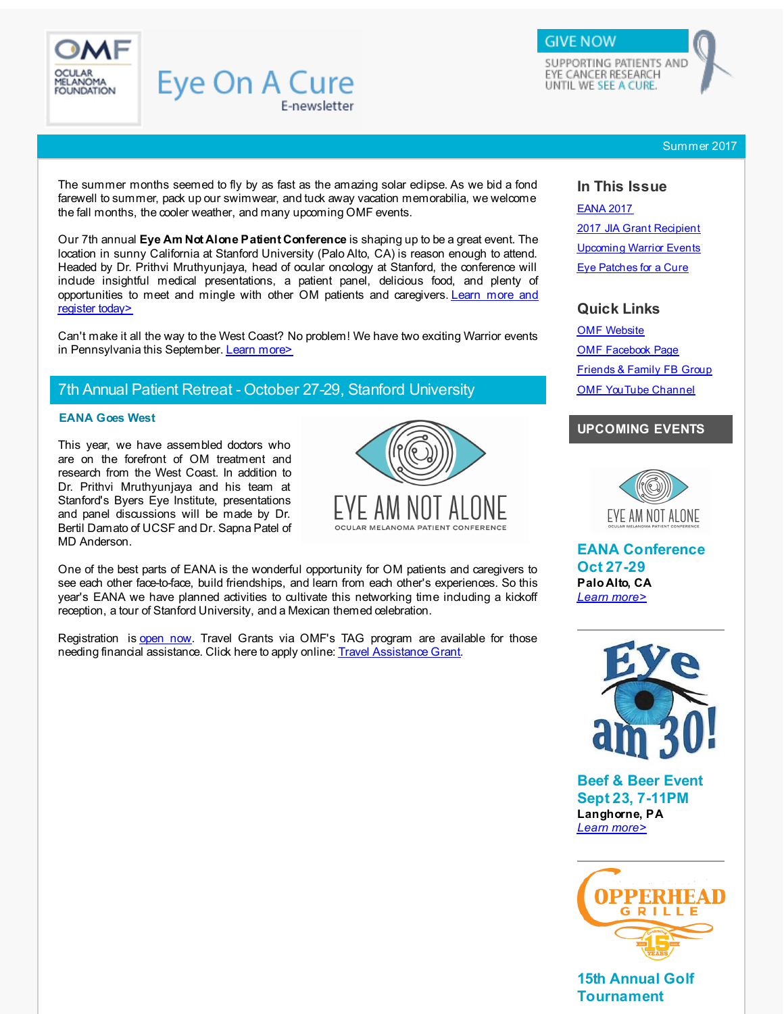<span id="page-0-1"></span>

SUPPORTING PATIENTS AND EYE CANCER RESEARCH UNTIL WE SEE A CURE.

**GIVE NOW** 

#### Summer 2017

The summer months seemed to fly by as fast as the amazing solar eclipse. As we bid a fond farewell to summer, pack up our swimwear, and tuck away vacation memorabilia, we welcome the fall months, the cooler weather, and many upcoming OMF events.

E-newsletter

**Eye On A Cure** 

Our 7th annual **Eye Am Not Alone Patient Conference** is shaping up to be a great event. The location in sunny California at Stanford University (Palo Alto, CA) is reason enough to attend. Headed by Dr. Prithvi Mruthyunjaya, head of ocular oncology at Stanford, the conference will indude insightful medical presentations, a patient panel, delicious food, and plenty of [opportunities](#page-0-0) to meet and mingle with other OM patients and caregivers. Learn more and register today>

Can't make it all the way to the West Coast? No problem! We have two exciting Warrior events in Pennsylvania this September. Learn [more>](#page-1-0)

# 7th Annual Patient Retreat - October 27-29, Stanford University

#### <span id="page-0-0"></span>**EANA Goes West**

This year, we have assembled doctors who are on the forefront of OM treatment and research from the West Coast. In addition to Dr. Prithvi Mruthyunjaya and his team at Stanford's Byers Eye Institute, presentations and panel discussions will be made by Dr. Bertil Damato of UCSF and Dr. Sapna Patel of MD Anderson.



One of the best parts of EANA is the wonderful opportunity for OM patients and caregivers to see each other face-to-face, build friendships, and learn from each other's experiences. So this year's EANA we have planned activities to cultivate this networking time including a kickoff reception, a tour of Stanford University, and a Mexican themed celebration.

Registration is [open](http://r20.rs6.net/tn.jsp?f=0013Ide45euolXWlh8nGGXV8puSU2HRXKBllLC9pUlgQUD5oN8suI0X0oeNvxH--wSGSXTinsnCRweJB0RmY2SGIx-tz52LKVlW0yJ4MsJNNYGRPIeFCicCznZiVtfCrDWFW_vcgQAP-Vhlyd6_dvhXuvk69cQAYEWmusH17AERwhmlfnCplX9E7fOd7hyc1_hu5QzuA77ie-GKaeOuPVwt76Qr9VBNwOdXKGfBTOy6J9joa6KPC3cCyrRx9pWUOPwuSLBPUaxGylj9UAobz7vBwU13FEYs7vvC9DUEycsRxpIjrzYjfNKy23j9qGCdcM4v6JKi5L0Tsay_utCgSdyz3Xw4xuMh9LI25dllEhl9hLgszZC1s8VRKhRe54TpDVPjyKUew6JUvDEL6K6Tf5nh3CJfTY1voyRAtay7-s7uUglPI7H7RA_N4taO9txaqwG7&c=&ch=) now. Travel Grants via OMF's TAG program are available for those needing financial assistance. Click here to apply online: Travel [Assistance](http://r20.rs6.net/tn.jsp?f=0013Ide45euolXWlh8nGGXV8puSU2HRXKBllLC9pUlgQUD5oN8suI0X0hlkCZgcWarLbEW4POm1DYETbGi40z7U8DsS6qhBNtsLJAtUt-H_H_OxCXpsPhxquZQVoETxRmvUazJmKPt8VU0IkHzggkhufnaocsmPYUpuC5neyfQjAcLZdvghHbr9YSC6-Ewai5eJpGC1MX0Bim3M2ObClw5SscdWK1aR2rAGDXnbsFPOCF1n4HWQxJ9J-RgA9ILGKhGTFeSi63CYSbTpBwp1YRhD_WwyytfgZuIf11O5KqHqHpbPLoORVhc9GTlZOslGxUvXCN-5BxZQ12kswamkNKUNpA==&c=&ch=) Grant.

#### **In This Issue**

[EANA](#page-0-1) 2017 2017 JIA Grant [Recipient](#page-0-1) [Upcoming](#page-0-1) Warrior Events Eye [Patches](#page-0-1) for a Cure

## **Quick Links**

OMF [Website](http://r20.rs6.net/tn.jsp?f=0013Ide45euolXWlh8nGGXV8puSU2HRXKBllLC9pUlgQUD5oN8suI0X0q163XZvTH-5A8Av6wflshiBocWnFAx_KaCUG7u50m7zyn_SBlBSn_Iaw8hNfEWeUcWNfekRsx-sl0GOTFNgLP96Ffc5sDfBAel92YTfAqQX5biClEJTIiWU_MgZ5iOv1A4xx0O0SFXuhxt8ve2YX0wr5iXUI08FNLb7a5V9CJTldp72FeCgztMe1K5zEFPl-9apo1eQ-yEzimJ1o4R0_hi2TwkPB0D2_XkRXoMV_1DraLCBYfjYeWcR3LEbiMMbAzj0oGEKQ4W1&c=&ch=) OMF [Facebook](http://r20.rs6.net/tn.jsp?f=0013Ide45euolXWlh8nGGXV8puSU2HRXKBllLC9pUlgQUD5oN8suI0X0jMKKl99hk2n3doWufqs-4DfwC9Aa8DoIf5Y609xb4ooYayczG_VoO5vK9LM33ZQUXjVl1bm-Mhjr4a0LSmI9QU-rY_P1-JgTDoMa4RrYVUTs2yhb5BdCrDeDud-vibcdRmSUG2gL1G5&c=&ch=) Page [Friends](http://r20.rs6.net/tn.jsp?f=0013Ide45euolXWlh8nGGXV8puSU2HRXKBllLC9pUlgQUD5oN8suI0X0pSFDFZ8ATO6P7zI-msJDorbpE5UOE7dDlaioolY3CZffRxGad_py-H_D17ZSPlugkDwjg925I3iGmiFVcxzKNTmU_LPo8HEKV1_evznJeHZjfIYVpR4YQS2Dg3_POiQ91M2WF7Vm67G-Z3yAfi0JR4=&c=&ch=) & Family FB Group OMF [YouTube](http://r20.rs6.net/tn.jsp?f=0013Ide45euolXWlh8nGGXV8puSU2HRXKBllLC9pUlgQUD5oN8suI0X0iYbNkllSPhrJq4S-YPUQvp1pafzNqbwNp5HyVW9bkxuUs5QDrvAUK0a5ls9L3cnculZy8kDZUk51-qdYMt9o93DZBKvQVO6YgIQVAODv6LKA23ErO3WWGK--DvY_zOvls3rmFW9ejSqK77Icd27DI0hV7HRRhGJ521jP48g4D_N&c=&ch=) Channel

### **UPCOMING EVENTS**



**EANA Conference Oct 27-29 Palo Alto, CA** *Learn [more>](http://r20.rs6.net/tn.jsp?f=0013Ide45euolXWlh8nGGXV8puSU2HRXKBllLC9pUlgQUD5oN8suI0X0oeNvxH--wSG9Pwh0bXNA4GhJ5KOfLcFnhfAy7RnPZMpKrGMj77nxBs-uj_C_LyD0WGArgFPJeN2dK1qgUtIyYoa21eyUJ_1GdMW1Pg7sQEOWAtxBmbVkxA9BqGojIxgVL8qBDTu8biZCgGc9ONm1Gp-Cl5IMuuPUHSQzQ2mQPepl5SthXoYvAEpw3El2iikE6AFn4UER5zHbXqeoA4-7PaVD0vJFB2FC5rEME0SmxjxLBbsDj64O8AZVhoBUDXViYMaPLa8E--w&c=&ch=)*



**Beef & Beer Event Sept 23, 7-11PM Langhorne, PA** *Learn [more>](http://r20.rs6.net/tn.jsp?f=0013Ide45euolXWlh8nGGXV8puSU2HRXKBllLC9pUlgQUD5oN8suI0X0oeNvxH--wSGqFbWuGTkKO8hiHGWL_mKRHwOQnCQ6_YNjuzVWkRJXVZWcOA2ho6FcF9vr_iPzJhCRZ3g69DpbQb9nTbTodvDyOV5WF5PeldW7CG-JV4GW0PYTSU89UZFFGW1zqS3IJ0cr-P3YMIUxfPhIy0-rv1Sfz53HtKP6GAaxCkeOjG67GqPpjznN0kYEXaCE0M0W_VAT9DKPJheqg8bcgfObvJINdiKWuD6cRHC3QPeoJENfweN6-Gog_OOfbpbvnD6MLNjvrM0QCBO6OpbIyDQefirkA==&c=&ch=)*



**15th Annual Golf Tournament**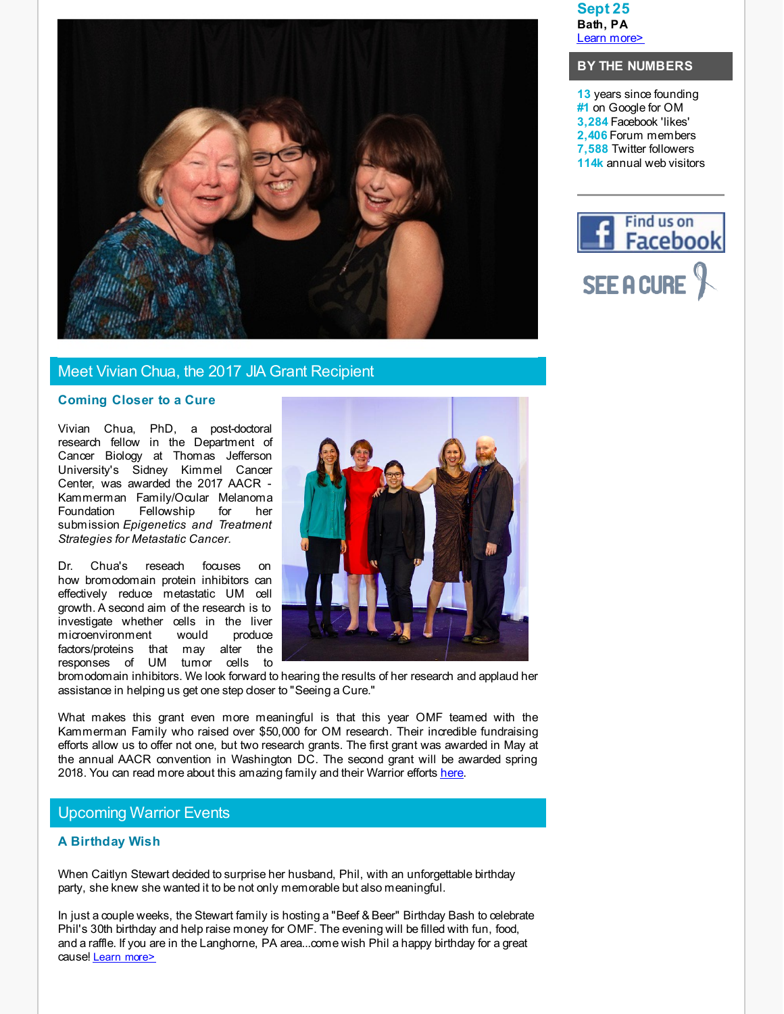

## Meet Vivian Chua, the 2017 JIA Grant Recipient

#### **Coming Closer to a Cure**

Vivian Chua, PhD, a post-doctoral research fellow in the Department of Cancer Biology at Thomas Jefferson University's Sidney Kimmel Cancer Center, was awarded the 2017 AACR - Kammerman Family/Ocular Melanoma Foundation Fellowship for her submission *Epigenetics and Treatment Strategies for Metastatic Cancer.*

Dr. Chua's reseach focuses on how bromodomain protein inhibitors can effectively reduce metastatic UM cell growth. A second aim of the research is to investigate whether cells in the liver microenvironment would produce factors/proteins that may alter the responses of UM tumor cells to



bromodomain inhibitors. We look forward to hearing the results of her research and applaud her assistance in helping us get one step doser to "Seeing a Cure."

What makes this grant even more meaningful is that this year OMF teamed with the Kammerman Family who raised over \$50,000 for OM research. Their incredible fundraising efforts allow us to offer not one, but two research grants. The first grant was awarded in May at the annual AACR convention in Washington DC. The second grant will be awarded spring 2018. You can read more about this amazing family and their Warrior efforts [here](http://r20.rs6.net/tn.jsp?f=0013Ide45euolXWlh8nGGXV8puSU2HRXKBllLC9pUlgQUD5oN8suI0X0lUqoUShhbDjjK6DMCYPjgYTaV4JOlCOIrth89oyK23j8lHZBKep4afVWuekL68pyOfoUdqcBtu3isJW6KjFSW53pASsMtlL5jQNKZiV0JJiGu2bhIGrBAON1rs7TInbvGbvYkC7T_dRQxRSLym0TuETQlYtGXDjevJGT7UF3NRXazF2FLwsp42QzxnfM3Gfj_5VNjrdaw_0cFkbfbsXVCvk1RUgwCNb65iddLIuw9KpoNX8E10liZc8qUd5X2i1hJ29pEI4rTjeC3uZCxHMPgGakeGCYct0JQ==&c=&ch=).

## Upcoming Warrior Events

#### <span id="page-1-0"></span>**A Birthday Wish**

When Caitlyn Stewart decided to surprise her husband, Phil, with an unforgettable birthday party, she knew she wanted it to be not only memorable but also meaningful.

In just a couple weeks, the Stewart family is hosting a "Beef & Beer" Birthday Bash to celebrate Phil's 30th birthday and help raise money for OMF. The evening will be filled with fun, food, and a raffle. If you are in the Langhorne, PA area...come wish Phil a happy birthday for a great cause! Learn [more>](http://r20.rs6.net/tn.jsp?f=0013Ide45euolXWlh8nGGXV8puSU2HRXKBllLC9pUlgQUD5oN8suI0X0oeNvxH--wSGqFbWuGTkKO8hiHGWL_mKRHwOQnCQ6_YNjuzVWkRJXVZWcOA2ho6FcF9vr_iPzJhCRZ3g69DpbQb9nTbTodvDyOV5WF5PeldW7CG-JV4GW0PYTSU89UZFFGW1zqS3IJ0cr-P3YMIUxfPhIy0-rv1Sfz53HtKP6GAaxCkeOjG67GqPpjznN0kYEXaCE0M0W_VAT9DKPJheqg8bcgfObvJINdiKWuD6cRHC3QPeoJENfweN6-Gog_OOfbpbvnD6MLNjvrM0QCBO6OpbIyDQefirkA==&c=&ch=)

**Sept 25 Bath, PA** Learn [more>](http://r20.rs6.net/tn.jsp?f=0013Ide45euolXWlh8nGGXV8puSU2HRXKBllLC9pUlgQUD5oN8suI0X0oeNvxH--wSG5bB7X3sdXhJEXJwoiqgcGOfyIB21yoX8ATGtkz0FsU17zBVnUOQywe0HfzRpuuQBJPDLflZ2xzzaHmardPpGd8xD6wINYTtUrQBHTc0N1iYNAb4BvDwhCjbvZtHwMsELkHigXgQBHUlZr8wwVTe0jD_RZ7Aa1uFNBiFGDHy2e-EIbUDSF0Qy3IXaD0GGR4vc0NzZSiz7LefjHdPw3o0265JSf9dZiXdvKprvwhotydNe8IVMp21kUGGAC71KjpmYOHQnyRQxI0g=&c=&ch=)

### **BY THE NUMBERS**

**13** years since founding **#1** on Google for OM **3,284** Facebook 'likes' **2,406** Forum members **7,588** Twitter followers **114k** annual web visitors